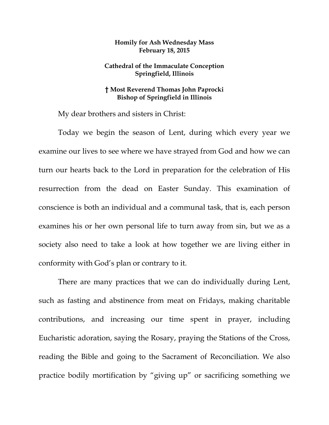## **Homily for Ash Wednesday Mass February 18, 2015**

## **Cathedral of the Immaculate Conception Springfield, Illinois**

## **† Most Reverend Thomas John Paprocki Bishop of Springfield in Illinois**

My dear brothers and sisters in Christ:

Today we begin the season of Lent, during which every year we examine our lives to see where we have strayed from God and how we can turn our hearts back to the Lord in preparation for the celebration of His resurrection from the dead on Easter Sunday. This examination of conscience is both an individual and a communal task, that is, each person examines his or her own personal life to turn away from sin, but we as a society also need to take a look at how together we are living either in conformity with God's plan or contrary to it.

There are many practices that we can do individually during Lent, such as fasting and abstinence from meat on Fridays, making charitable contributions, and increasing our time spent in prayer, including Eucharistic adoration, saying the Rosary, praying the Stations of the Cross, reading the Bible and going to the Sacrament of Reconciliation. We also practice bodily mortification by "giving up" or sacrificing something we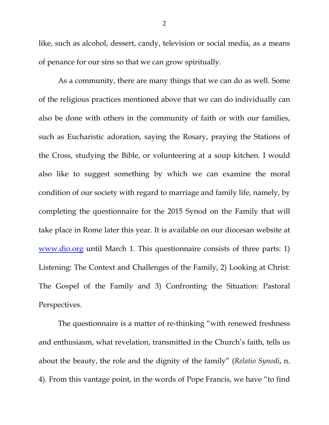like, such as alcohol, dessert, candy, television or social media, as a means of penance for our sins so that we can grow spiritually.

As a community, there are many things that we can do as well. Some of the religious practices mentioned above that we can do individually can also be done with others in the community of faith or with our families, such as Eucharistic adoration, saying the Rosary, praying the Stations of the Cross, studying the Bible, or volunteering at a soup kitchen. I would also like to suggest something by which we can examine the moral condition of our society with regard to marriage and family life, namely, by completing the questionnaire for the 2015 Synod on the Family that will take place in Rome later this year. It is available on our diocesan website at www.dio.org until March 1. This questionnaire consists of three parts: 1) Listening: The Context and Challenges of the Family, 2) Looking at Christ: The Gospel of the Family and 3) Confronting the Situation: Pastoral Perspectives.

The questionnaire is a matter of re-thinking "with renewed freshness and enthusiasm, what revelation, transmitted in the Church's faith, tells us about the beauty, the role and the dignity of the family" (*Relatio Synodi*, n. 4). From this vantage point, in the words of Pope Francis, we have "to find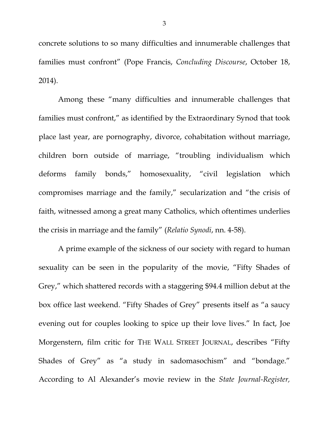concrete solutions to so many difficulties and innumerable challenges that families must confront" (Pope Francis, *Concluding Discourse*, October 18, 2014).

Among these "many difficulties and innumerable challenges that families must confront," as identified by the Extraordinary Synod that took place last year, are pornography, divorce, cohabitation without marriage, children born outside of marriage, "troubling individualism which deforms family bonds," homosexuality, "civil legislation which compromises marriage and the family," secularization and "the crisis of faith, witnessed among a great many Catholics, which oftentimes underlies the crisis in marriage and the family" (*Relatio Synodi*, nn. 4-58).

A prime example of the sickness of our society with regard to human sexuality can be seen in the popularity of the movie, "Fifty Shades of Grey," which shattered records with a staggering \$94.4 million debut at the box office last weekend. "Fifty Shades of Grey" presents itself as "a saucy evening out for couples looking to spice up their love lives." In fact, Joe Morgenstern, film critic for THE WALL STREET JOURNAL, describes "Fifty Shades of Grey" as "a study in sadomasochism" and "bondage." According to Al Alexander's movie review in the *State Journal-Register,*